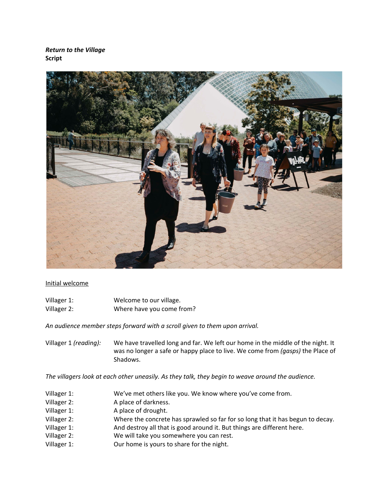*Return to the Village* **Script**



## Initial welcome

| Villager 1: | Welcome to our village.   |
|-------------|---------------------------|
| Villager 2: | Where have you come from? |

*An audience member steps forward with a scroll given to them upon arrival.*

Villager 1 *(reading):* We have travelled long and far. We left our home in the middle of the night. It was no longer a safe or happy place to live. We come from *(gasps)* the Place of Shadows.

*The villagers look at each other uneasily. As they talk, they begin to weave around the audience.*

- Villager 1: We've met others like you. We know where you've come from.
- Villager 2: A place of darkness.
- Villager 1: A place of drought.
- Villager 2: Where the concrete has sprawled so far for so long that it has begun to decay.
- Villager 1: And destroy all that is good around it. But things are different here.
- Villager 2: We will take you somewhere you can rest.
- Villager 1: Our home is yours to share for the night.